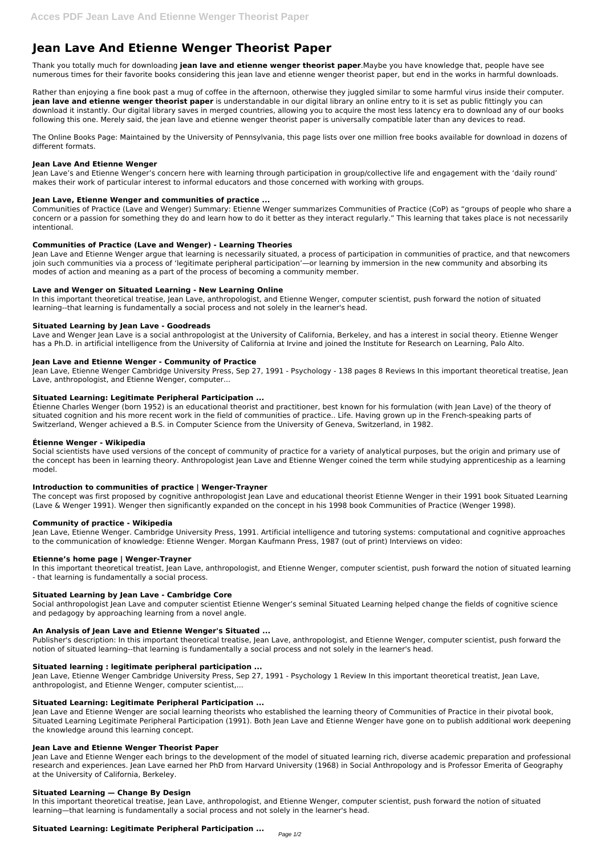# **Jean Lave And Etienne Wenger Theorist Paper**

Thank you totally much for downloading **jean lave and etienne wenger theorist paper**.Maybe you have knowledge that, people have see numerous times for their favorite books considering this jean lave and etienne wenger theorist paper, but end in the works in harmful downloads.

Rather than enjoying a fine book past a mug of coffee in the afternoon, otherwise they juggled similar to some harmful virus inside their computer. **jean lave and etienne wenger theorist paper** is understandable in our digital library an online entry to it is set as public fittingly you can download it instantly. Our digital library saves in merged countries, allowing you to acquire the most less latency era to download any of our books following this one. Merely said, the jean lave and etienne wenger theorist paper is universally compatible later than any devices to read.

The Online Books Page: Maintained by the University of Pennsylvania, this page lists over one million free books available for download in dozens of different formats.

## **Jean Lave And Etienne Wenger**

Jean Lave's and Etienne Wenger's concern here with learning through participation in group/collective life and engagement with the 'daily round' makes their work of particular interest to informal educators and those concerned with working with groups.

## **Jean Lave, Etienne Wenger and communities of practice ...**

Communities of Practice (Lave and Wenger) Summary: Etienne Wenger summarizes Communities of Practice (CoP) as "groups of people who share a concern or a passion for something they do and learn how to do it better as they interact regularly." This learning that takes place is not necessarily intentional.

## **Communities of Practice (Lave and Wenger) - Learning Theories**

Jean Lave and Etienne Wenger argue that learning is necessarily situated, a process of participation in communities of practice, and that newcomers join such communities via a process of 'legitimate peripheral participation'—or learning by immersion in the new community and absorbing its modes of action and meaning as a part of the process of becoming a community member.

## **Lave and Wenger on Situated Learning - New Learning Online**

In this important theoretical treatise, Jean Lave, anthropologist, and Etienne Wenger, computer scientist, push forward the notion of situated learning--that learning is fundamentally a social process and not solely in the learner's head.

#### **Situated Learning by Jean Lave - Goodreads**

Jean Lave, Etienne Wenger Cambridge University Press, Sep 27, 1991 - Psychology 1 Review In this important theoretical treatist, Jean Lave, anthropologist, and Etienne Wenger, computer scientist....

Lave and Wenger Jean Lave is a social anthropologist at the University of California, Berkeley, and has a interest in social theory. Etienne Wenger has a Ph.D. in artificial intelligence from the University of California at Irvine and joined the Institute for Research on Learning, Palo Alto.

## **Jean Lave and Etienne Wenger - Community of Practice**

Jean Lave, Etienne Wenger Cambridge University Press, Sep 27, 1991 - Psychology - 138 pages 8 Reviews In this important theoretical treatise, Jean Lave, anthropologist, and Etienne Wenger, computer...

## **Situated Learning: Legitimate Peripheral Participation ...**

Étienne Charles Wenger (born 1952) is an educational theorist and practitioner, best known for his formulation (with Jean Lave) of the theory of situated cognition and his more recent work in the field of communities of practice.. Life. Having grown up in the French-speaking parts of Switzerland, Wenger achieved a B.S. in Computer Science from the University of Geneva, Switzerland, in 1982.

## **Étienne Wenger - Wikipedia**

Social scientists have used versions of the concept of community of practice for a variety of analytical purposes, but the origin and primary use of the concept has been in learning theory. Anthropologist Jean Lave and Etienne Wenger coined the term while studying apprenticeship as a learning model.

## **Introduction to communities of practice | Wenger-Trayner**

The concept was first proposed by cognitive anthropologist Jean Lave and educational theorist Etienne Wenger in their 1991 book Situated Learning (Lave & Wenger 1991). Wenger then significantly expanded on the concept in his 1998 book Communities of Practice (Wenger 1998).

## **Community of practice - Wikipedia**

Jean Lave, Etienne Wenger. Cambridge University Press, 1991. Artificial intelligence and tutoring systems: computational and cognitive approaches to the communication of knowledge: Etienne Wenger. Morgan Kaufmann Press, 1987 (out of print) Interviews on video:

## **Etienne's home page | Wenger-Trayner**

In this important theoretical treatist, Jean Lave, anthropologist, and Etienne Wenger, computer scientist, push forward the notion of situated learning - that learning is fundamentally a social process.

## **Situated Learning by Jean Lave - Cambridge Core**

Social anthropologist Jean Lave and computer scientist Etienne Wenger's seminal Situated Learning helped change the fields of cognitive science and pedagogy by approaching learning from a novel angle.

#### **An Analysis of Jean Lave and Etienne Wenger's Situated ...**

Publisher's description: In this important theoretical treatise, Jean Lave, anthropologist, and Etienne Wenger, computer scientist, push forward the

notion of situated learning--that learning is fundamentally a social process and not solely in the learner's head.

#### **Situated learning : legitimate peripheral participation ...**

#### **Situated Learning: Legitimate Peripheral Participation ...**

Jean Lave and Etienne Wenger are social learning theorists who established the learning theory of Communities of Practice in their pivotal book, Situated Learning Legitimate Peripheral Participation (1991). Both Jean Lave and Etienne Wenger have gone on to publish additional work deepening the knowledge around this learning concept.

#### **Jean Lave and Etienne Wenger Theorist Paper**

Jean Lave and Etienne Wenger each brings to the development of the model of situated learning rich, diverse academic preparation and professional research and experiences. Jean Lave earned her PhD from Harvard University (1968) in Social Anthropology and is Professor Emerita of Geography at the University of California, Berkeley.

#### **Situated Learning — Change By Design**

In this important theoretical treatise, Jean Lave, anthropologist, and Etienne Wenger, computer scientist, push forward the notion of situated learning—that learning is fundamentally a social process and not solely in the learner's head.

# **Situated Learning: Legitimate Peripheral Participation ...**